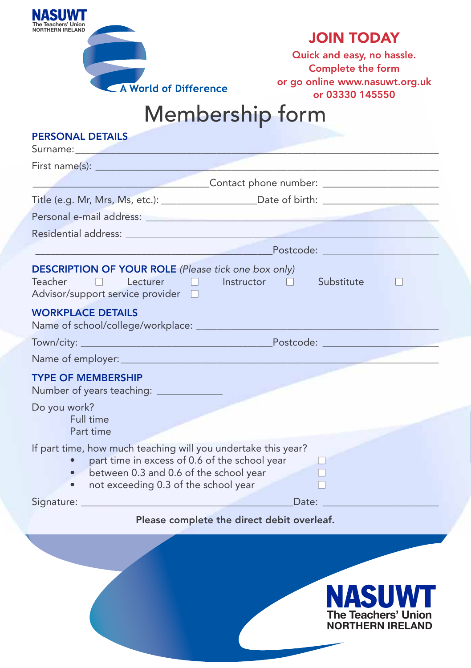| NAJUW I                                        |                       |
|------------------------------------------------|-----------------------|
| The Teachers' Union<br><b>NORTHERN IRELAND</b> |                       |
|                                                |                       |
|                                                |                       |
|                                                |                       |
|                                                |                       |
|                                                |                       |
|                                                | A World of Difference |
|                                                |                       |

**NASU** 

## **JOIN TODAY**

**Quick and easy, no hassle. Complete the form or go online www.nasuwt.org.uk or 03330 145550** 

> NASUWT **The Teachers' Union NORTHERN IRELAND**

## Membership form

| <b>PERSONAL DETAILS</b><br>Surname: All and the state of the state of the state of the state of the state of the state of the state of the                                                       |                                                                                                                                        |  |  |  |  |  |  |  |
|--------------------------------------------------------------------------------------------------------------------------------------------------------------------------------------------------|----------------------------------------------------------------------------------------------------------------------------------------|--|--|--|--|--|--|--|
|                                                                                                                                                                                                  |                                                                                                                                        |  |  |  |  |  |  |  |
|                                                                                                                                                                                                  | <b>Contact phone number:</b> <u>Contact phone number:</u> <u>Contact phone number:</u> <u>Contact phone number:</u> Contact Phone 2012 |  |  |  |  |  |  |  |
|                                                                                                                                                                                                  |                                                                                                                                        |  |  |  |  |  |  |  |
|                                                                                                                                                                                                  |                                                                                                                                        |  |  |  |  |  |  |  |
|                                                                                                                                                                                                  | Residential address:                                                                                                                   |  |  |  |  |  |  |  |
|                                                                                                                                                                                                  | <u>Postcode: And American Postcode:</u>                                                                                                |  |  |  |  |  |  |  |
| <b>DESCRIPTION OF YOUR ROLE</b> (Please tick one box only)<br>Teacher<br>Advisor/support service provider □                                                                                      | Substitute<br>Lecturer $\Box$ Instructor $\Box$                                                                                        |  |  |  |  |  |  |  |
| <b>WORKPLACE DETAILS</b>                                                                                                                                                                         |                                                                                                                                        |  |  |  |  |  |  |  |
|                                                                                                                                                                                                  |                                                                                                                                        |  |  |  |  |  |  |  |
|                                                                                                                                                                                                  |                                                                                                                                        |  |  |  |  |  |  |  |
| <b>TYPE OF MEMBERSHIP</b><br>Number of years teaching: ____________                                                                                                                              |                                                                                                                                        |  |  |  |  |  |  |  |
| Do you work?<br>Full time<br>Part time                                                                                                                                                           |                                                                                                                                        |  |  |  |  |  |  |  |
| If part time, how much teaching will you undertake this year?<br>part time in excess of 0.6 of the school year<br>between 0.3 and 0.6 of the school year<br>not exceeding 0.3 of the school year |                                                                                                                                        |  |  |  |  |  |  |  |
|                                                                                                                                                                                                  | Date:                                                                                                                                  |  |  |  |  |  |  |  |
|                                                                                                                                                                                                  | Please complete the direct debit overleaf.                                                                                             |  |  |  |  |  |  |  |